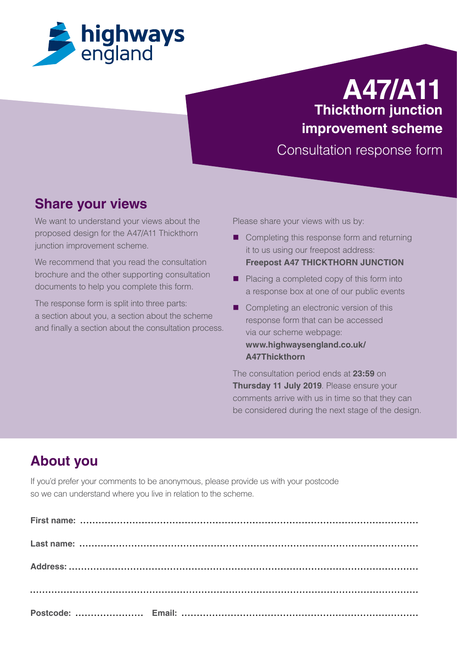

# **A47/A11 Thickthorn junction improvement scheme**

Consultation response form

### **Share your views**

We want to understand your views about the proposed design for the A47/A11 Thickthorn junction improvement scheme.

We recommend that you read the consultation brochure and the other supporting consultation documents to help you complete this form.

The response form is split into three parts: a section about you, a section about the scheme and finally a section about the consultation process. Please share your views with us by:

- Completing this response form and returning it to us using our freepost address: **Freepost A47 THICKTHORN JUNCTION**
- Placing a completed copy of this form into a response box at one of our public events
- Completing an electronic version of this response form that can be accessed via our scheme webpage: **[www.highwaysengland.co.uk/](http://www.highwaysengland.co.uk/A47Thickthorn) [A47Thickthorn](http://www.highwaysengland.co.uk/A47Thickthorn)**

The consultation period ends at **23:59** on **Thursday 11 July 2019**. Please ensure your comments arrive with us in time so that they can be considered during the next stage of the design.

## **About you**

If you'd prefer your comments to be anonymous, please provide us with your postcode so we can understand where you live in relation to the scheme.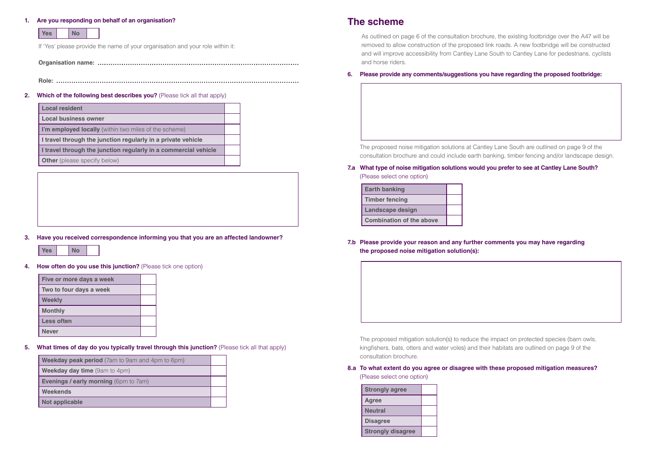#### **1. Are you responding on behalf of an organisation?**

| <b>Yes</b> |  | No |  |
|------------|--|----|--|
|------------|--|----|--|

If 'Yes' please provide the name of your organisation and your role within it:

| <b>Local resident</b>                                           |  |
|-----------------------------------------------------------------|--|
| <b>Local business owner</b>                                     |  |
| I'm employed locally (within two miles of the scheme)           |  |
| I travel through the junction regularly in a private vehicle    |  |
| I travel through the junction regularly in a commercial vehicle |  |
| <b>Other</b> (please specify below)                             |  |

**Organisation name:** 

**Role:** 

#### **2. Which of the following best describes you?** (Please tick all that apply)

#### **3. Have you received correspondence informing you that you are an affected landowner?**



**4. How often do you use this junction?** (Please tick one option)

| Five or more days a week |  |
|--------------------------|--|
| Two to four days a week  |  |
| <b>Weekly</b>            |  |
| <b>Monthly</b>           |  |
| <b>Less often</b>        |  |
| <b>Never</b>             |  |

**5. What times of day do you typically travel through this junction?** (Please tick all that apply)

| <b>Weekday peak period</b> (7am to 9am and 4pm to 6pm) |  |
|--------------------------------------------------------|--|
| <b>Weekday day time</b> (9am to 4pm)                   |  |
| <b>Evenings / early morning (6pm to 7am)</b>           |  |
| Weekends                                               |  |
| <b>Not applicable</b>                                  |  |

### **The scheme**

As outlined on page 6 of the consultation brochure, the existing footbridge over the A47 will be removed to allow construction of the proposed link roads. A new footbridge will be constructed and will improve accessibility from Cantley Lane South to Cantley Lane for pedestrians, cyclists and horse riders.

#### **6. Please provide any comments/suggestions you have regarding the proposed footbridge:**

The proposed noise mitigation solutions at Cantley Lane South are outlined on page 9 of the consultation brochure and could include earth banking, timber fencing and/or landscape design.

#### **7.a What type of noise mitigation solutions would you prefer to see at Cantley Lane South?**

(Please select one option)

| <b>Earth banking</b>            |  |
|---------------------------------|--|
| <b>Timber fencing</b>           |  |
| <b>Landscape design</b>         |  |
| <b>Combination of the above</b> |  |

### **7.b Please provide your reason and any further comments you may have regarding the proposed noise mitigation solution(s):**

The proposed mitigation solution(s) to reduce the impact on protected species (barn owls, kingfishers, bats, otters and water voles) and their habitats are outlined on page 9 of the consultation brochure.

#### **8.a To what extent do you agree or disagree with these proposed mitigation measures?**

(Please select one option)

| <b>Strongly agree</b>    |  |
|--------------------------|--|
| Agree                    |  |
| <b>Neutral</b>           |  |
| <b>Disagree</b>          |  |
| <b>Strongly disagree</b> |  |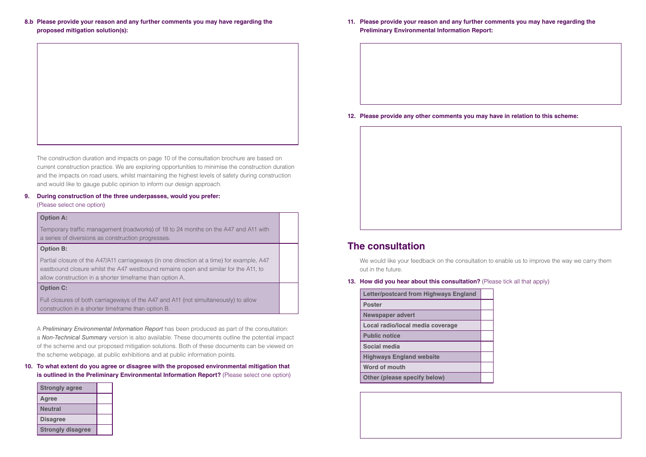#### **8.b Please provide your reason and any further comments you may have regarding the proposed mitigation solution(s):**

The construction duration and impacts on page 10 of the consultation brochure are based on current construction practice. We are exploring opportunities to minimise the construction duration and the impacts on road users, whilst maintaining the highest levels of safety during construction and would like to gauge public opinion to inform our design approach.

#### **9. During construction of the three underpasses, would you prefer:**

(Please select one option)

#### **Option A:**

Temporary traffic management (roadworks) of 18 to 24 months on the A47 and A11 with a series of diversions as construction progresses.

#### **Option B:**

#### **10. To what extent do you agree or disagree with the proposed environmental mitigation that is outlined in the Preliminary Environmental Information Report?** (Please select one option)

Partial closure of the A47/A11 carriageways (in one direction at a time) for example, A47 eastbound closure whilst the A47 westbound remains open and similar for the A11, to allow construction in a shorter timeframe than option A.

#### **Option C:**

We would like your feedback on the consultation to enable us to improve the way we carry them out in the future.

#### **13. How did you hear about this consultation?** (Please tick all that apply)

Full closures of both carriageways of the A47 and A11 (not simultaneously) to allow construction in a shorter timeframe than option B.

A *Preliminary Environmental Information Report* has been produced as part of the consultation: a *Non-Technical Summary* version is also available. These documents outline the potential impact of the scheme and our proposed mitigation solutions. Both of these documents can be viewed on the scheme webpage, at public exhibitions and at public information points.

| <b>Strongly agree</b>    |  |
|--------------------------|--|
| <b>Agree</b>             |  |
| <b>Neutral</b>           |  |
| <b>Disagree</b>          |  |
| <b>Strongly disagree</b> |  |

**11. Please provide your reason and any further comments you may have regarding the Preliminary Environmental Information Report:**

**12. Please provide any other comments you may have in relation to this scheme:** 

### **The consultation**

| <b>Letter/postcard from Highways England</b> |  |
|----------------------------------------------|--|
| <b>Poster</b>                                |  |
| <b>Newspaper advert</b>                      |  |
| Local radio/local media coverage             |  |
| <b>Public notice</b>                         |  |
| Social media                                 |  |
| <b>Highways England website</b>              |  |
| Word of mouth                                |  |
| <b>Other (please specify below)</b>          |  |

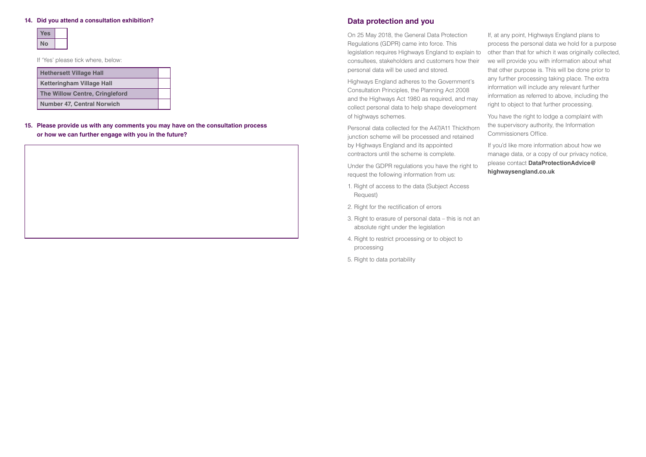### **Data protection and you**

collect personal data to help shape development of highways schemes.

Personal data collected for the A47/A11 Thickthorn junction scheme will be processed and retained by Highways England and its appointed contractors until the scheme is complete.

Under the GDPR regulations you have the right to request the following information from us:

On 25 May 2018, the General Data Protection Regulations (GDPR) came into force. This legislation requires Highways England to explain to consultees, stakeholders and customers how their personal data will be used and stored. Highways England adheres to the Government's Consultation Principles, the Planning Act 2008 and the Highways Act 1980 as required, and may If, at any point, Highways England plans to process the personal data we hold for a purpose other than that for which it was originally collected, we will provide you with information about what that other purpose is. This will be done prior to any further processing taking place. The extra information will include any relevant further information as referred to above, including the right to object to that further processing.

> If you'd like more information about how we manage data, or a copy of our privacy notice, please contact **DataProtectionAdvice@ highwaysengland.co.uk**

- 1. Right of access to the data (Subject Access Request)
- 2. Right for the rectification of errors
- 3. Right to erasure of personal data this is not an absolute right under the legislation
- 4. Right to restrict processing or to object to processing
- 5. Right to data portability

You have the right to lodge a complaint with the supervisory authority, the Information Commissioners Office.

#### **14. Did you attend a consultation exhibition?**

If 'Yes' please tick where, below:

| <b>Hethersett Village Hall</b>        |  |
|---------------------------------------|--|
| <b>Ketteringham Village Hall</b>      |  |
| <b>The Willow Centre, Cringleford</b> |  |
| <b>Number 47, Central Norwich</b>     |  |

**15. Please provide us with any comments you may have on the consultation process or how we can further engage with you in the future?**